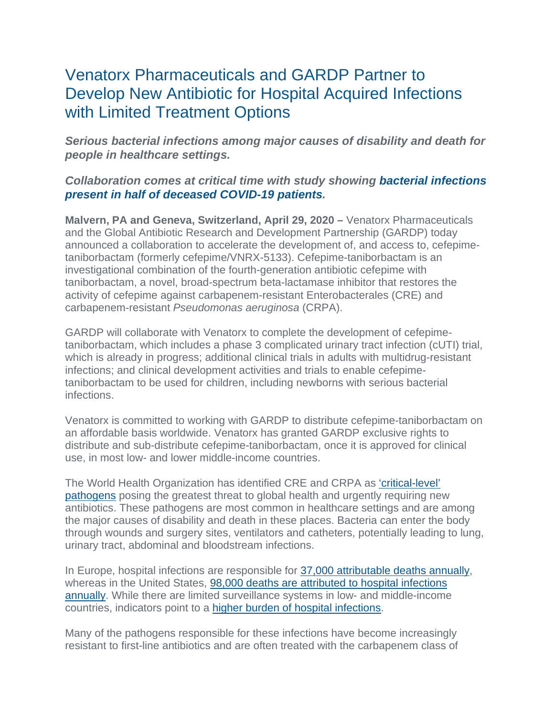# Venatorx Pharmaceuticals and GARDP Partner to Develop New Antibiotic for Hospital Acquired Infections with Limited Treatment Options

*Serious bacterial infections among major causes of disability and death for people in healthcare settings.*

## *Collaboration comes at critical time with study showing [bacterial infections](https://www.thelancet.com/journals/lancet/article/PIIS0140-6736(20)30566-3/fulltext#seccestitle10)  [present in half of deceased COVID-19 patients.](https://www.thelancet.com/journals/lancet/article/PIIS0140-6736(20)30566-3/fulltext#seccestitle10)*

**Malvern, PA and Geneva, Switzerland, April 29, 2020 –** Venatorx Pharmaceuticals and the Global Antibiotic Research and Development Partnership (GARDP) today announced a collaboration to accelerate the development of, and access to, cefepimetaniborbactam (formerly cefepime/VNRX-5133). Cefepime-taniborbactam is an investigational combination of the fourth-generation antibiotic cefepime with taniborbactam, a novel, broad-spectrum beta-lactamase inhibitor that restores the activity of cefepime against carbapenem-resistant Enterobacterales (CRE) and carbapenem-resistant *Pseudomonas aeruginosa* (CRPA).

GARDP will collaborate with Venatorx to complete the development of cefepimetaniborbactam, which includes a phase 3 complicated urinary tract infection (cUTI) trial, which is already in progress; additional clinical trials in adults with multidrug-resistant infections; and clinical development activities and trials to enable cefepimetaniborbactam to be used for children, including newborns with serious bacterial infections.

Venatorx is committed to working with GARDP to distribute cefepime-taniborbactam on an affordable basis worldwide. Venatorx has granted GARDP exclusive rights to distribute and sub-distribute cefepime-taniborbactam, once it is approved for clinical use, in most low- and lower middle-income countries.

The World Health Organization has identified CRE and CRPA as ['critical-level'](https://www.who.int/news-room/detail/27-02-2017-who-publishes-list-of-bacteria-for-which-new-antibiotics-are-urgently-needed)  [pathogens](https://www.who.int/news-room/detail/27-02-2017-who-publishes-list-of-bacteria-for-which-new-antibiotics-are-urgently-needed) posing the greatest threat to global health and urgently requiring new antibiotics. These pathogens are most common in healthcare settings and are among the major causes of disability and death in these places. Bacteria can enter the body through wounds and surgery sites, ventilators and catheters, potentially leading to lung, urinary tract, abdominal and bloodstream infections.

In Europe, hospital infections are responsible for [37,000 attributable deaths annually,](https://www.ecdc.europa.eu/en/about-us/who-we-are/disease-programmes/antimicrobial-resistance-and-healthcare-associated) whereas in the United States, [98,000 deaths are attributed to hospital infections](https://www.ncbi.nlm.nih.gov/pmc/articles/PMC6245375/)  [annually.](https://www.ncbi.nlm.nih.gov/pmc/articles/PMC6245375/) While there are limited surveillance systems in low- and middle-income countries, indicators point to a [higher burden of hospital infections.](https://www.who.int/gpsc/country_work/gpsc_ccisc_fact_sheet_en.pdf)

Many of the pathogens responsible for these infections have become increasingly resistant to first-line antibiotics and are often treated with the carbapenem class of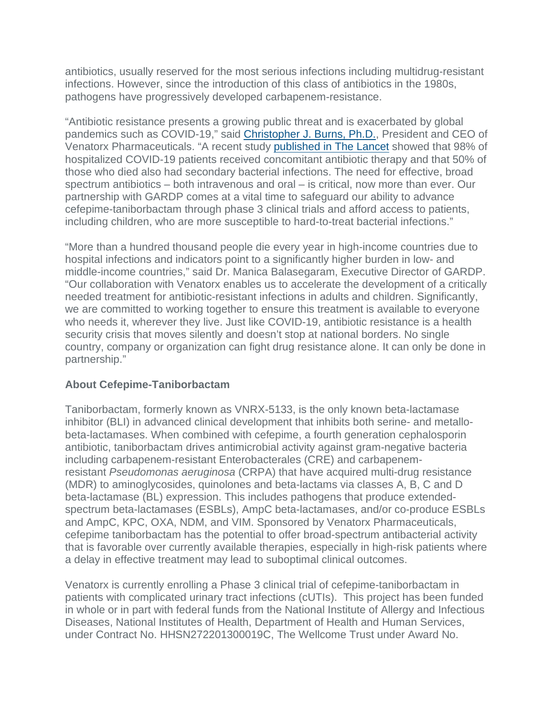antibiotics, usually reserved for the most serious infections including multidrug-resistant infections. However, since the introduction of this class of antibiotics in the 1980s, pathogens have progressively developed carbapenem-resistance.

"Antibiotic resistance presents a growing public threat and is exacerbated by global pandemics such as COVID-19," said [Christopher J. Burns, Ph.D.,](https://www.venatorx.com/leadership/) President and CEO of Venatorx Pharmaceuticals. "A recent study [published in The Lancet](https://www.thelancet.com/journals/lancet/article/PIIS0140-6736(20)30566-3/fulltext#seccestitle10) showed that 98% of hospitalized COVID-19 patients received concomitant antibiotic therapy and that 50% of those who died also had secondary bacterial infections. The need for effective, broad spectrum antibiotics – both intravenous and oral – is critical, now more than ever. Our partnership with GARDP comes at a vital time to safeguard our ability to advance cefepime-taniborbactam through phase 3 clinical trials and afford access to patients, including children, who are more susceptible to hard-to-treat bacterial infections."

"More than a hundred thousand people die every year in high-income countries due to hospital infections and indicators point to a significantly higher burden in low- and middle-income countries," said Dr. Manica Balasegaram, Executive Director of GARDP. "Our collaboration with Venatorx enables us to accelerate the development of a critically needed treatment for antibiotic-resistant infections in adults and children. Significantly, we are committed to working together to ensure this treatment is available to everyone who needs it, wherever they live. Just like COVID-19, antibiotic resistance is a health security crisis that moves silently and doesn't stop at national borders. No single country, company or organization can fight drug resistance alone. It can only be done in partnership."

## **About Cefepime-Taniborbactam**

Taniborbactam, formerly known as VNRX-5133, is the only known beta-lactamase inhibitor (BLI) in advanced clinical development that inhibits both serine- and metallobeta-lactamases. When combined with cefepime, a fourth generation cephalosporin antibiotic, taniborbactam drives antimicrobial activity against gram-negative bacteria including carbapenem-resistant Enterobacterales (CRE) and carbapenemresistant *Pseudomonas aeruginosa* (CRPA) that have acquired multi-drug resistance (MDR) to aminoglycosides, quinolones and beta-lactams via classes A, B, C and D beta-lactamase (BL) expression. This includes pathogens that produce extendedspectrum beta-lactamases (ESBLs), AmpC beta-lactamases, and/or co-produce ESBLs and AmpC, KPC, OXA, NDM, and VIM. Sponsored by Venatorx Pharmaceuticals, cefepime taniborbactam has the potential to offer broad-spectrum antibacterial activity that is favorable over currently available therapies, especially in high-risk patients where a delay in effective treatment may lead to suboptimal clinical outcomes.

Venatorx is currently enrolling a Phase 3 clinical trial of cefepime-taniborbactam in patients with complicated urinary tract infections (cUTIs). This project has been funded in whole or in part with federal funds from the National Institute of Allergy and Infectious Diseases, National Institutes of Health, Department of Health and Human Services, under Contract No. HHSN272201300019C, The Wellcome Trust under Award No.